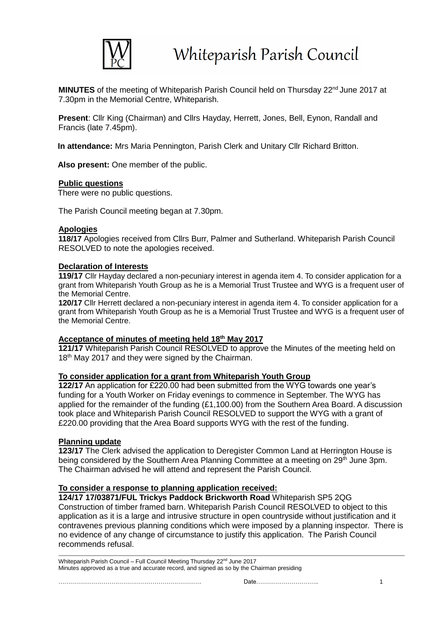

**MINUTES** of the meeting of Whiteparish Parish Council held on Thursday 22<sup>nd</sup> June 2017 at 7.30pm in the Memorial Centre, Whiteparish.

**Present**: Cllr King (Chairman) and Cllrs Hayday, Herrett, Jones, Bell, Eynon, Randall and Francis (late 7.45pm).

**In attendance:** Mrs Maria Pennington, Parish Clerk and Unitary Cllr Richard Britton.

**Also present:** One member of the public.

#### **Public questions**

There were no public questions.

The Parish Council meeting began at 7.30pm.

#### **Apologies**

**118/17** Apologies received from Cllrs Burr, Palmer and Sutherland. Whiteparish Parish Council RESOLVED to note the apologies received.

#### **Declaration of Interests**

**119/17** Cllr Hayday declared a non-pecuniary interest in agenda item 4. To consider application for a grant from Whiteparish Youth Group as he is a Memorial Trust Trustee and WYG is a frequent user of the Memorial Centre.

**120/17** Cllr Herrett declared a non-pecuniary interest in agenda item 4. To consider application for a grant from Whiteparish Youth Group as he is a Memorial Trust Trustee and WYG is a frequent user of the Memorial Centre.

#### **Acceptance of minutes of meeting held 18 th May 2017**

**121/17** Whiteparish Parish Council RESOLVED to approve the Minutes of the meeting held on 18<sup>th</sup> May 2017 and they were signed by the Chairman.

#### **To consider application for a grant from Whiteparish Youth Group**

**122/17** An application for £220.00 had been submitted from the WYG towards one year's funding for a Youth Worker on Friday evenings to commence in September. The WYG has applied for the remainder of the funding (£1,100.00) from the Southern Area Board. A discussion took place and Whiteparish Parish Council RESOLVED to support the WYG with a grant of £220.00 providing that the Area Board supports WYG with the rest of the funding.

#### **Planning update**

**123/17** The Clerk advised the application to Deregister Common Land at Herrington House is being considered by the Southern Area Planning Committee at a meeting on 29<sup>th</sup> June 3pm. The Chairman advised he will attend and represent the Parish Council.

#### **To consider a response to planning application received:**

**124/17 17/03871/FUL Trickys Paddock Brickworth Road** Whiteparish SP5 2QG Construction of timber framed barn. Whiteparish Parish Council RESOLVED to object to this application as it is a large and intrusive structure in open countryside without justification and it contravenes previous planning conditions which were imposed by a planning inspector. There is no evidence of any change of circumstance to justify this application. The Parish Council recommends refusal.

Whiteparish Parish Council – Full Council Meeting Thursday 22<sup>nd</sup> June 2017 Minutes approved as a true and accurate record, and signed as so by the Chairman presiding

………………………………………………………………. Date………………………….. 1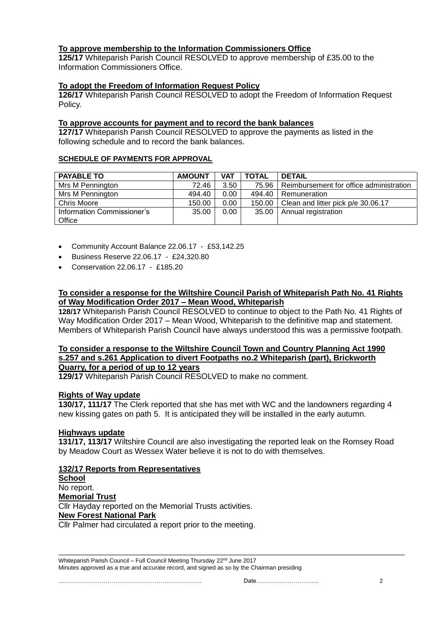## **To approve membership to the Information Commissioners Office**

**125/17** Whiteparish Parish Council RESOLVED to approve membership of £35.00 to the Information Commissioners Office.

## **To adopt the Freedom of Information Request Policy**

**126/17** Whiteparish Parish Council RESOLVED to adopt the Freedom of Information Request Policy.

#### **To approve accounts for payment and to record the bank balances**

**127/17** Whiteparish Parish Council RESOLVED to approve the payments as listed in the following schedule and to record the bank balances.

#### **SCHEDULE OF PAYMENTS FOR APPROVAL**

| <b>PAYABLE TO</b>          | <b>AMOUNT</b> | <b>VAT</b> | <b>TOTAL</b> | <b>DETAIL</b>                           |
|----------------------------|---------------|------------|--------------|-----------------------------------------|
| Mrs M Pennington           | 72.46         | 3.50       | 75.96 l      | Reimbursement for office administration |
| Mrs M Pennington           | 494.40        | 0.00       | 494.40       | Remuneration                            |
| Chris Moore                | 150.00        | 0.00       | 150.00       | Clean and litter pick p/e 30.06.17      |
| Information Commissioner's | 35.00         | 0.00       | 35.00        | Annual registration                     |
| Office                     |               |            |              |                                         |

- Community Account Balance 22.06.17 £53,142.25
- Business Reserve 22.06.17 £24,320.80
- Conservation 22.06.17 £185.20

## **To consider a response for the Wiltshire Council Parish of Whiteparish Path No. 41 Rights of Way Modification Order 2017 – Mean Wood, Whiteparish**

**128/17** Whiteparish Parish Council RESOLVED to continue to object to the Path No. 41 Rights of Way Modification Order 2017 – Mean Wood, Whiteparish to the definitive map and statement. Members of Whiteparish Parish Council have always understood this was a permissive footpath.

#### **To consider a response to the Wiltshire Council Town and Country Planning Act 1990 s.257 and s.261 Application to divert Footpaths no.2 Whiteparish (part), Brickworth Quarry, for a period of up to 12 years**

**129/17** Whiteparish Parish Council RESOLVED to make no comment.

## **Rights of Way update**

**130/17, 111/17** The Clerk reported that she has met with WC and the landowners regarding 4 new kissing gates on path 5. It is anticipated they will be installed in the early autumn.

## **Highways update**

**131/17, 113/17** Wiltshire Council are also investigating the reported leak on the Romsey Road by Meadow Court as Wessex Water believe it is not to do with themselves.

## **132/17 Reports from Representatives**

**School** No report. **Memorial Trust** Cllr Hayday reported on the Memorial Trusts activities. **New Forest National Park** Cllr Palmer had circulated a report prior to the meeting.

Whiteparish Parish Council – Full Council Meeting Thursday 22<sup>nd</sup> June 2017 Minutes approved as a true and accurate record, and signed as so by the Chairman presiding

………………………………………………………………. Date………………………….. 2